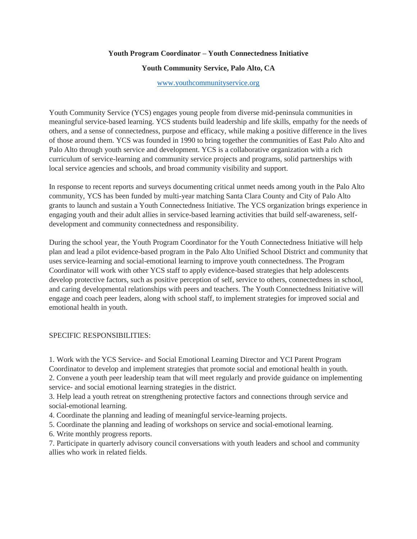### **Youth Program Coordinator – Youth Connectedness Initiative**

### **Youth Community Service, Palo Alto, CA**

# <www.youthcommunityservice.org>

Youth Community Service (YCS) engages young people from diverse mid-peninsula communities in meaningful service-based learning. YCS students build leadership and life skills, empathy for the needs of others, and a sense of connectedness, purpose and efficacy, while making a positive difference in the lives of those around them. YCS was founded in 1990 to bring together the communities of East Palo Alto and Palo Alto through youth service and development. YCS is a collaborative organization with a rich curriculum of service-learning and community service projects and programs, solid partnerships with local service agencies and schools, and broad community visibility and support.

In response to recent reports and surveys documenting critical unmet needs among youth in the Palo Alto community, YCS has been funded by multi-year matching Santa Clara County and City of Palo Alto grants to launch and sustain a Youth Connectedness Initiative. The YCS organization brings experience in engaging youth and their adult allies in service-based learning activities that build self-awareness, selfdevelopment and community connectedness and responsibility.

During the school year, the Youth Program Coordinator for the Youth Connectedness Initiative will help plan and lead a pilot evidence-based program in the Palo Alto Unified School District and community that uses service-learning and social-emotional learning to improve youth connectedness. The Program Coordinator will work with other YCS staff to apply evidence-based strategies that help adolescents develop protective factors, such as positive perception of self, service to others, connectedness in school, and caring developmental relationships with peers and teachers. The Youth Connectedness Initiative will engage and coach peer leaders, along with school staff, to implement strategies for improved social and emotional health in youth.

#### SPECIFIC RESPONSIBILITIES:

1. Work with the YCS Service- and Social Emotional Learning Director and YCI Parent Program Coordinator to develop and implement strategies that promote social and emotional health in youth.

2. Convene a youth peer leadership team that will meet regularly and provide guidance on implementing service- and social emotional learning strategies in the district.

3. Help lead a youth retreat on strengthening protective factors and connections through service and social-emotional learning.

4. Coordinate the planning and leading of meaningful service-learning projects.

5. Coordinate the planning and leading of workshops on service and social-emotional learning.

6. Write monthly progress reports.

7. Participate in quarterly advisory council conversations with youth leaders and school and community allies who work in related fields.